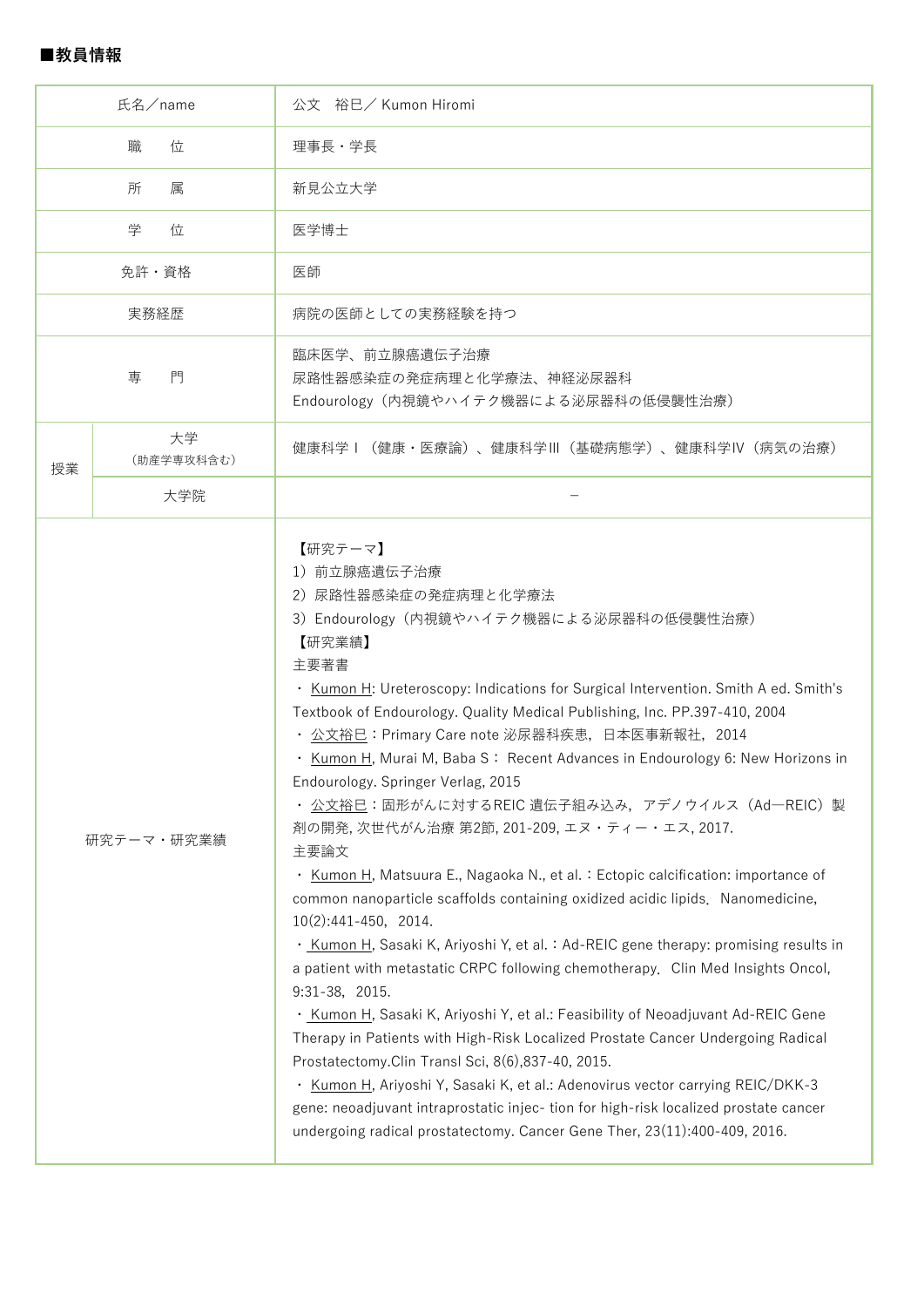| 氏名/name    |                  | 公文 裕巳/ Kumon Hiromi                                                                                                                                                                                                                                                                                                                                                                                                                                                                                                                                                                                                                                                                                                                                                                                                                                                                                                                                                                                                                                                                                                                                                                                                                                                                                                                                                                                                                                                                   |  |  |  |
|------------|------------------|---------------------------------------------------------------------------------------------------------------------------------------------------------------------------------------------------------------------------------------------------------------------------------------------------------------------------------------------------------------------------------------------------------------------------------------------------------------------------------------------------------------------------------------------------------------------------------------------------------------------------------------------------------------------------------------------------------------------------------------------------------------------------------------------------------------------------------------------------------------------------------------------------------------------------------------------------------------------------------------------------------------------------------------------------------------------------------------------------------------------------------------------------------------------------------------------------------------------------------------------------------------------------------------------------------------------------------------------------------------------------------------------------------------------------------------------------------------------------------------|--|--|--|
| 位<br>職     |                  | 理事長・学長                                                                                                                                                                                                                                                                                                                                                                                                                                                                                                                                                                                                                                                                                                                                                                                                                                                                                                                                                                                                                                                                                                                                                                                                                                                                                                                                                                                                                                                                                |  |  |  |
| 所<br>属     |                  | 新見公立大学                                                                                                                                                                                                                                                                                                                                                                                                                                                                                                                                                                                                                                                                                                                                                                                                                                                                                                                                                                                                                                                                                                                                                                                                                                                                                                                                                                                                                                                                                |  |  |  |
| 学<br>位     |                  | 医学博士                                                                                                                                                                                                                                                                                                                                                                                                                                                                                                                                                                                                                                                                                                                                                                                                                                                                                                                                                                                                                                                                                                                                                                                                                                                                                                                                                                                                                                                                                  |  |  |  |
| 免許・資格      |                  | 医師                                                                                                                                                                                                                                                                                                                                                                                                                                                                                                                                                                                                                                                                                                                                                                                                                                                                                                                                                                                                                                                                                                                                                                                                                                                                                                                                                                                                                                                                                    |  |  |  |
| 実務経歴       |                  | 病院の医師としての実務経験を持つ                                                                                                                                                                                                                                                                                                                                                                                                                                                                                                                                                                                                                                                                                                                                                                                                                                                                                                                                                                                                                                                                                                                                                                                                                                                                                                                                                                                                                                                                      |  |  |  |
| 門<br>専     |                  | 臨床医学、前立腺癌遺伝子治療<br>尿路性器感染症の発症病理と化学療法、神経泌尿器科<br>Endourology (内視鏡やハイテク機器による泌尿器科の低侵襲性治療)                                                                                                                                                                                                                                                                                                                                                                                                                                                                                                                                                                                                                                                                                                                                                                                                                                                                                                                                                                                                                                                                                                                                                                                                                                                                                                                                                                                                  |  |  |  |
| 授業         | 大学<br>(助産学専攻科含む) | 健康科学Ⅰ(健康・医療論)、健康科学Ⅲ(基礎病態学)、健康科学Ⅳ(病気の治療)                                                                                                                                                                                                                                                                                                                                                                                                                                                                                                                                                                                                                                                                                                                                                                                                                                                                                                                                                                                                                                                                                                                                                                                                                                                                                                                                                                                                                                               |  |  |  |
|            | 大学院              |                                                                                                                                                                                                                                                                                                                                                                                                                                                                                                                                                                                                                                                                                                                                                                                                                                                                                                                                                                                                                                                                                                                                                                                                                                                                                                                                                                                                                                                                                       |  |  |  |
| 研究テーマ・研究業績 |                  | 【研究テーマ】<br>1) 前立腺癌遺伝子治療<br>2) 尿路性器感染症の発症病理と化学療法<br>3) Endourology (内視鏡やハイテク機器による泌尿器科の低侵襲性治療)<br>【研究業績】<br>主要著書<br>· Kumon H: Ureteroscopy: Indications for Surgical Intervention. Smith A ed. Smith's<br>Textbook of Endourology. Quality Medical Publishing, Inc. PP.397-410, 2004<br>・ <u>公文裕巳</u> :Primary Care note 泌尿器科疾患,日本医事新報社,2014<br>· Kumon H, Murai M, Baba S: Recent Advances in Endourology 6: New Horizons in<br>Endourology. Springer Verlag, 2015<br>・ <u>公文裕巳</u> :固形がんに対するREIC 遺伝子組み込み,アデノウイルス(Ad―REIC)製<br>剤の開発, 次世代がん治療 第2節, 201-209, エヌ・ティー・エス, 2017.<br>主要論文<br>Kumon H, Matsuura E., Nagaoka N., et al. : Ectopic calcification: importance of<br>$\bullet$<br>common nanoparticle scaffolds containing oxidized acidic lipids. Nanomedicine,<br>$10(2):441-450$ , 2014.<br>· Kumon H, Sasaki K, Ariyoshi Y, et al. : Ad-REIC gene therapy: promising results in<br>a patient with metastatic CRPC following chemotherapy. Clin Med Insights Oncol,<br>9:31-38, 2015.<br>· Kumon H, Sasaki K, Ariyoshi Y, et al.: Feasibility of Neoadjuvant Ad-REIC Gene<br>Therapy in Patients with High-Risk Localized Prostate Cancer Undergoing Radical<br>Prostatectomy. Clin Transl Sci, 8(6), 837-40, 2015.<br>Kumon H, Ariyoshi Y, Sasaki K, et al.: Adenovirus vector carrying REIC/DKK-3<br>٠<br>gene: neoadjuvant intraprostatic injec- tion for high-risk localized prostate cancer<br>undergoing radical prostatectomy. Cancer Gene Ther, 23(11):400-409, 2016. |  |  |  |